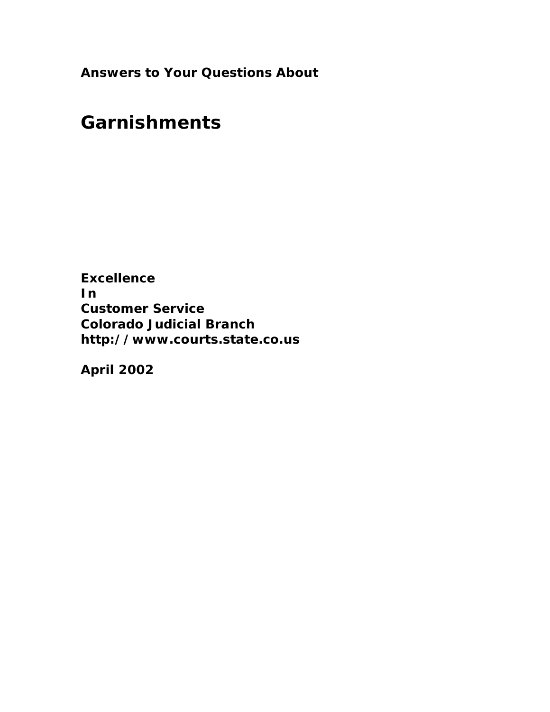**Answers to Your Questions About**

# **Garnishments**

**Excellence In Customer Service Colorado Judicial Branch <http://www.courts.state.co.us>**

**April 2002**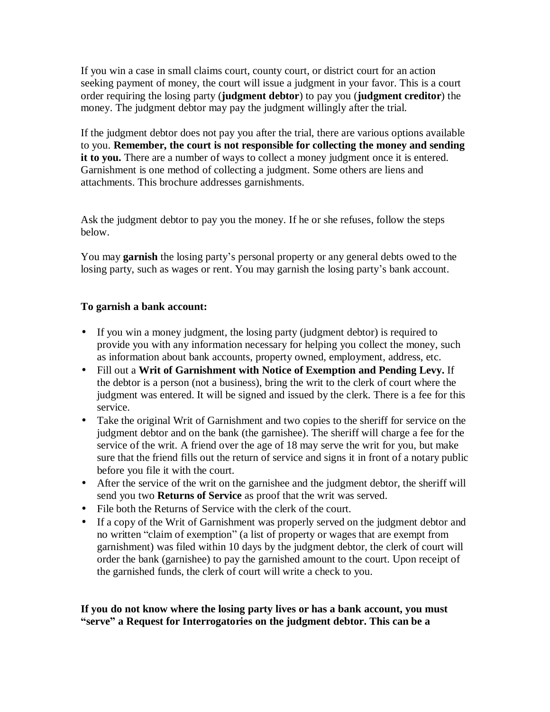If you win a case in small claims court, county court, or district court for an action seeking payment of money, the court will issue a judgment in your favor. This is a court order requiring the losing party (**judgment debtor**) to pay you (**judgment creditor**) the money. The judgment debtor may pay the judgment willingly after the trial.

If the judgment debtor does not pay you after the trial, there are various options available to you. **Remember, the court is not responsible for collecting the money and sending it to you.** There are a number of ways to collect a money judgment once it is entered. Garnishment is one method of collecting a judgment. Some others are liens and attachments. This brochure addresses garnishments.

Ask the judgment debtor to pay you the money. If he or she refuses, follow the steps below.

You may **garnish** the losing party's personal property or any general debts owed to the losing party, such as wages or rent. You may garnish the losing party's bank account.

### **To garnish a bank account:**

- If you win a money judgment, the losing party (judgment debtor) is required to provide you with any information necessary for helping you collect the money, such as information about bank accounts, property owned, employment, address, etc.
- Fill out a **Writ of Garnishment with Notice of Exemption and Pending Levy.** If the debtor is a person (not a business), bring the writ to the clerk of court where the judgment was entered. It will be signed and issued by the clerk. There is a fee for this service.
- Take the original Writ of Garnishment and two copies to the sheriff for service on the judgment debtor and on the bank (the garnishee). The sheriff will charge a fee for the service of the writ. A friend over the age of 18 may serve the writ for you, but make sure that the friend fills out the return of service and signs it in front of a notary public before you file it with the court.
- After the service of the writ on the garnishee and the judgment debtor, the sheriff will send you two **Returns of Service** as proof that the writ was served.
- File both the Returns of Service with the clerk of the court.
- If a copy of the Writ of Garnishment was properly served on the judgment debtor and no written "claim of exemption" (a list of property or wages that are exempt from garnishment) was filed within 10 days by the judgment debtor, the clerk of court will order the bank (garnishee) to pay the garnished amount to the court. Upon receipt of the garnished funds, the clerk of court will write a check to you.

**If you do not know where the losing party lives or has a bank account, you must ³serve´ a Request for Interrogatories on the judgment debtor. This can be a**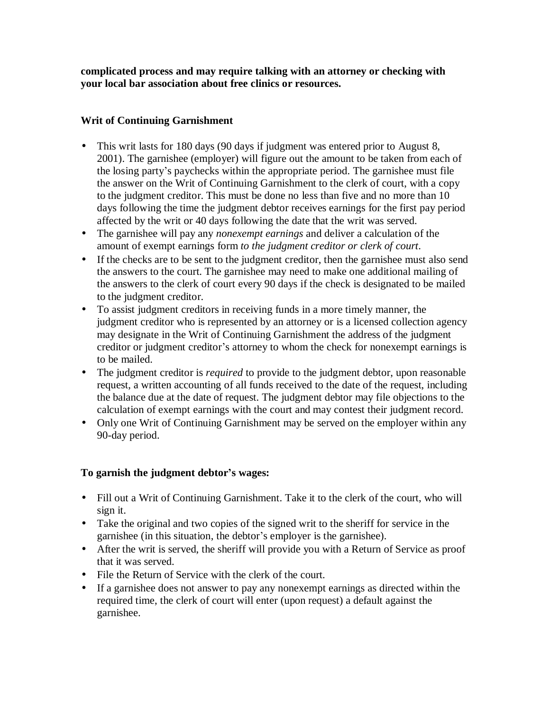**complicated process and may require talking with an attorney or checking with your local bar association about free clinics or resources.**

#### **Writ of Continuing Garnishment**

- This writ lasts for 180 days (90 days if judgment was entered prior to August 8, 2001). The garnishee (employer) will figure out the amount to be taken from each of the losing party's paychecks within the appropriate period. The garnishee must file the answer on the Writ of Continuing Garnishment to the clerk of court, with a copy to the judgment creditor. This must be done no less than five and no more than 10 days following the time the judgment debtor receives earnings for the first pay period affected by the writ or 40 days following the date that the writ was served.
- The garnishee will pay any *nonexempt earnings* and deliver a calculation of the amount of exempt earnings form *to the judgment creditor or clerk of court*.
- If the checks are to be sent to the judgment creditor, then the garnishee must also send the answers to the court. The garnishee may need to make one additional mailing of the answers to the clerk of court every 90 days if the check is designated to be mailed to the judgment creditor.
- To assist judgment creditors in receiving funds in a more timely manner, the judgment creditor who is represented by an attorney or is a licensed collection agency may designate in the Writ of Continuing Garnishment the address of the judgment creditor or judgment creditor's attorney to whom the check for nonexempt earnings is to be mailed.
- The judgment creditor is *required* to provide to the judgment debtor, upon reasonable request, a written accounting of all funds received to the date of the request, including the balance due at the date of request. The judgment debtor may file objections to the calculation of exempt earnings with the court and may contest their judgment record.
- Only one Writ of Continuing Garnishment may be served on the employer within any 90-day period.

## **To garnish the judgment debtor¶s wages:**

- Fill out a Writ of Continuing Garnishment. Take it to the clerk of the court, who will sign it.
- Take the original and two copies of the signed writ to the sheriff for service in the garnishee (in this situation, the debtor's employer is the garnishee).
- After the writ is served, the sheriff will provide you with a Return of Service as proof that it was served.
- File the Return of Service with the clerk of the court.
- If a garnishee does not answer to pay any nonexempt earnings as directed within the required time, the clerk of court will enter (upon request) a default against the garnishee.